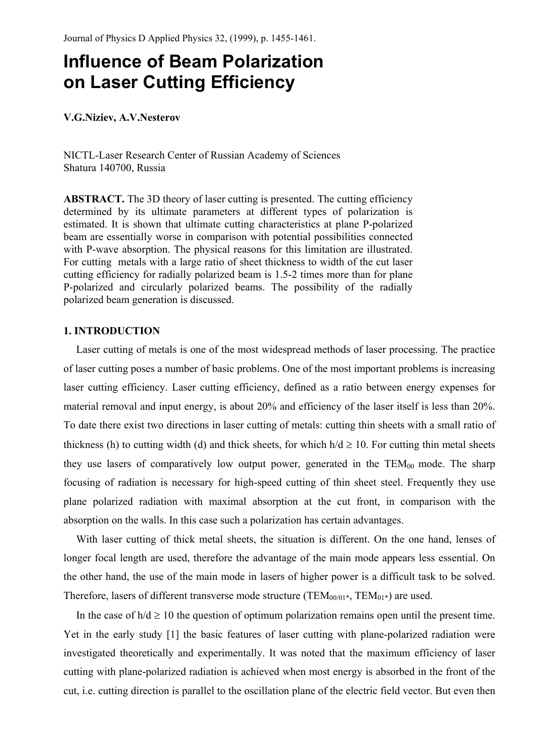# **Influence of Beam Polarization on Laser Cutting Efficiency**

### **V.G.Niziev, A.V.Nesterov**

NICTL-Laser Research Center of Russian Academy of Sciences Shatura 140700, Russia

**ABSTRACT.** The 3D theory of laser cutting is presented. The cutting efficiency determined by its ultimate parameters at different types of polarization is estimated. It is shown that ultimate cutting characteristics at plane P-polarized beam are essentially worse in comparison with potential possibilities connected with P-wave absorption. The physical reasons for this limitation are illustrated. For cutting metals with a large ratio of sheet thickness to width of the cut laser cutting efficiency for radially polarized beam is 1.5-2 times more than for plane P-polarized and circularly polarized beams. The possibility of the radially polarized beam generation is discussed.

# **1. INTRODUCTION**

Laser cutting of metals is one of the most widespread methods of laser processing. The practice of laser cutting poses a number of basic problems. One of the most important problems is increasing laser cutting efficiency. Laser cutting efficiency, defined as a ratio between energy expenses for material removal and input energy, is about 20% and efficiency of the laser itself is less than 20%. To date there exist two directions in laser cutting of metals: cutting thin sheets with a small ratio of thickness (h) to cutting width (d) and thick sheets, for which  $h/d \ge 10$ . For cutting thin metal sheets they use lasers of comparatively low output power, generated in the  $TEM_{00}$  mode. The sharp focusing of radiation is necessary for high-speed cutting of thin sheet steel. Frequently they use plane polarized radiation with maximal absorption at the cut front, in comparison with the absorption on the walls. In this case such a polarization has certain advantages.

With laser cutting of thick metal sheets, the situation is different. On the one hand, lenses of longer focal length are used, therefore the advantage of the main mode appears less essential. On the other hand, the use of the main mode in lasers of higher power is a difficult task to be solved. Therefore, lasers of different transverse mode structure (TEM<sub>00/01\*</sub>, TEM<sub>01\*</sub>) are used.

In the case of  $h/d \ge 10$  the question of optimum polarization remains open until the present time. Yet in the early study [1] the basic features of laser cutting with plane-polarized radiation were investigated theoretically and experimentally. It was noted that the maximum efficiency of laser cutting with plane-polarized radiation is achieved when most energy is absorbed in the front of the cut, i.e. cutting direction is parallel to the oscillation plane of the electric field vector. But even then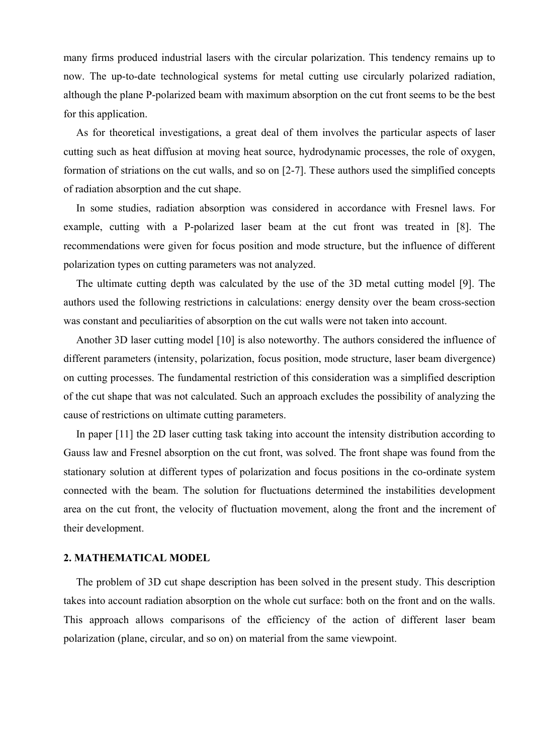many firms produced industrial lasers with the circular polarization. This tendency remains up to now. The up-to-date technological systems for metal cutting use circularly polarized radiation, although the plane P-polarized beam with maximum absorption on the cut front seems to be the best for this application.

As for theoretical investigations, a great deal of them involves the particular aspects of laser cutting such as heat diffusion at moving heat source, hydrodynamic processes, the role of oxygen, formation of striations on the cut walls, and so on [2-7]. These authors used the simplified concepts of radiation absorption and the cut shape.

In some studies, radiation absorption was considered in accordance with Fresnel laws. For example, cutting with a P-polarized laser beam at the cut front was treated in [8]. The recommendations were given for focus position and mode structure, but the influence of different polarization types on cutting parameters was not analyzed.

The ultimate cutting depth was calculated by the use of the 3D metal cutting model [9]. The authors used the following restrictions in calculations: energy density over the beam cross-section was constant and peculiarities of absorption on the cut walls were not taken into account.

Another 3D laser cutting model [10] is also noteworthy. The authors considered the influence of different parameters (intensity, polarization, focus position, mode structure, laser beam divergence) on cutting processes. The fundamental restriction of this consideration was a simplified description of the cut shape that was not calculated. Such an approach excludes the possibility of analyzing the cause of restrictions on ultimate cutting parameters.

In paper [11] the 2D laser cutting task taking into account the intensity distribution according to Gauss law and Fresnel absorption on the cut front, was solved. The front shape was found from the stationary solution at different types of polarization and focus positions in the co-ordinate system connected with the beam. The solution for fluctuations determined the instabilities development area on the cut front, the velocity of fluctuation movement, along the front and the increment of their development.

#### **2. MATHEMATICAL MODEL**

The problem of 3D cut shape description has been solved in the present study. This description takes into account radiation absorption on the whole cut surface: both on the front and on the walls. This approach allows comparisons of the efficiency of the action of different laser beam polarization (plane, circular, and so on) on material from the same viewpoint.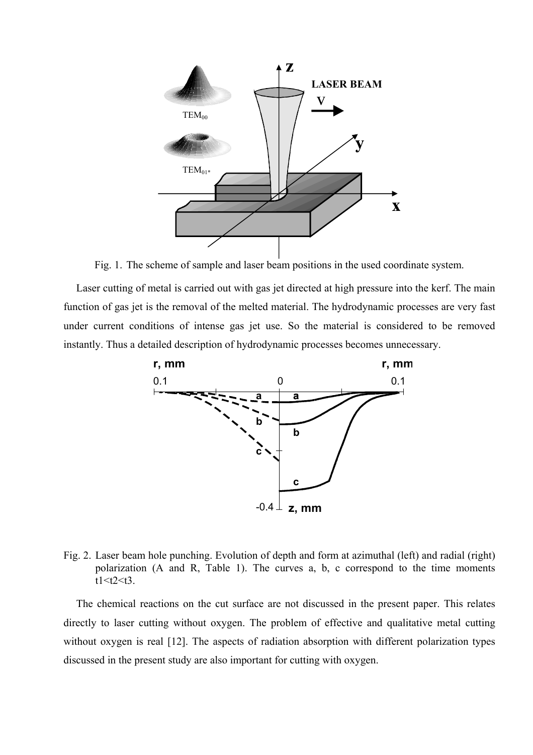

Fig. 1. The scheme of sample and laser beam positions in the used coordinate system.

Laser cutting of metal is carried out with gas jet directed at high pressure into the kerf. The main function of gas jet is the removal of the melted material. The hydrodynamic processes are very fast under current conditions of intense gas jet use. So the material is considered to be removed instantly. Thus a detailed description of hydrodynamic processes becomes unnecessary.



Fig. 2. Laser beam hole punching. Evolution of depth and form at azimuthal (left) and radial (right) polarization (A and R, Table 1). The curves a, b, c correspond to the time moments  $t1 < t2 < t3$ .

The chemical reactions on the cut surface are not discussed in the present paper. This relates directly to laser cutting without oxygen. The problem of effective and qualitative metal cutting without oxygen is real [12]. The aspects of radiation absorption with different polarization types discussed in the present study are also important for cutting with oxygen.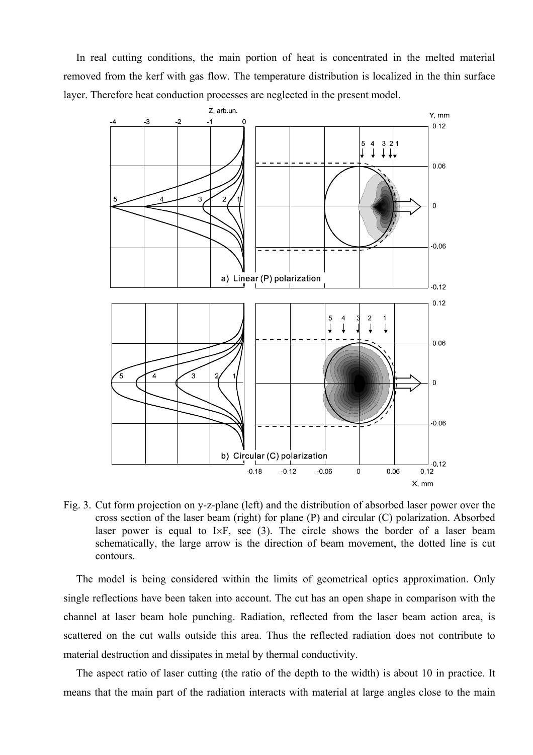In real cutting conditions, the main portion of heat is concentrated in the melted material removed from the kerf with gas flow. The temperature distribution is localized in the thin surface layer. Therefore heat conduction processes are neglected in the present model.



Fig. 3. Cut form projection on y-z-plane (left) and the distribution of absorbed laser power over the cross section of the laser beam (right) for plane (P) and circular (C) polarization. Absorbed laser power is equal to I×F, see (3). The circle shows the border of a laser beam schematically, the large arrow is the direction of beam movement, the dotted line is cut contours.

The model is being considered within the limits of geometrical optics approximation. Only single reflections have been taken into account. The cut has an open shape in comparison with the channel at laser beam hole punching. Radiation, reflected from the laser beam action area, is scattered on the cut walls outside this area. Thus the reflected radiation does not contribute to material destruction and dissipates in metal by thermal conductivity.

The aspect ratio of laser cutting (the ratio of the depth to the width) is about 10 in practice. It means that the main part of the radiation interacts with material at large angles close to the main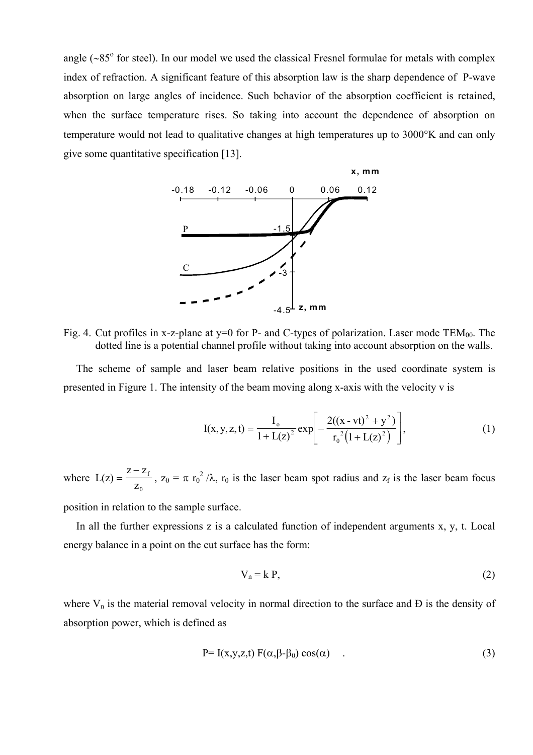angle (~85° for steel). In our model we used the classical Fresnel formulae for metals with complex index of refraction. A significant feature of this absorption law is the sharp dependence of P-wave absorption on large angles of incidence. Such behavior of the absorption coefficient is retained, when the surface temperature rises. So taking into account the dependence of absorption on temperature would not lead to qualitative changes at high temperatures up to 3000°K and can only give some quantitative specification [13].



Fig. 4. Cut profiles in x-z-plane at  $y=0$  for P- and C-types of polarization. Laser mode TEM<sub>00</sub>. The dotted line is a potential channel profile without taking into account absorption on the walls.

The scheme of sample and laser beam relative positions in the used coordinate system is presented in Figure 1. The intensity of the beam moving along x-axis with the velocity v is

$$
I(x, y, z, t) = \frac{I_0}{1 + L(z)^2} exp\left[ -\frac{2((x - vt)^2 + y^2)}{r_0^2 (1 + L(z)^2)} \right],
$$
 (1)

where  $L(z)$  $Z - Z_f$ z f  $\boldsymbol{0}$ = − ,  $z_0 = \pi r_0^2 / \lambda$ ,  $r_0$  is the laser beam spot radius and  $z_f$  is the laser beam focus

position in relation to the sample surface.

In all the further expressions z is a calculated function of independent arguments x, y, t. Local energy balance in a point on the cut surface has the form:

$$
V_n = k P, \tag{2}
$$

where  $V_n$  is the material removal velocity in normal direction to the surface and  $D$  is the density of absorption power, which is defined as

$$
P=I(x,y,z,t) F(\alpha,\beta-\beta_0) \cos(\alpha) \qquad . \tag{3}
$$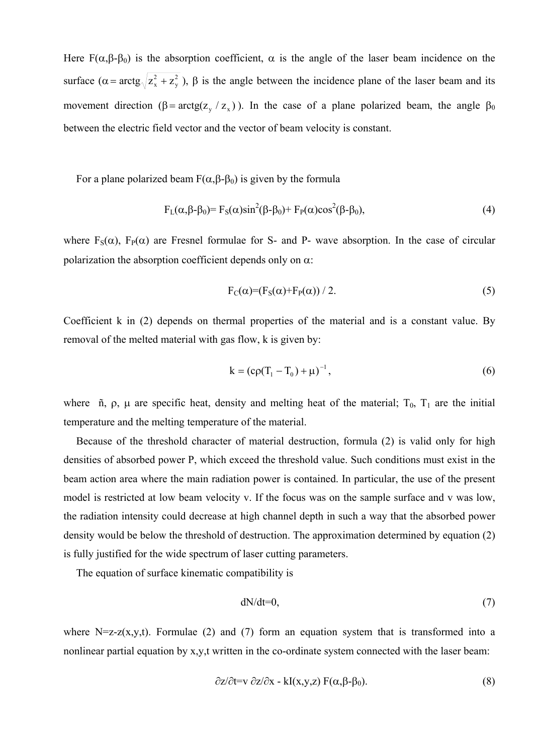Here  $F(\alpha, \beta-\beta_0)$  is the absorption coefficient,  $\alpha$  is the angle of the laser beam incidence on the surface  $(\alpha = \arctg \sqrt{z_x^2 + z_y^2})$ y  $+z_v^2$ ),  $\beta$  is the angle between the incidence plane of the laser beam and its movement direction ( $\beta = \arctg(z_y / z_x)$ ). In the case of a plane polarized beam, the angle  $\beta_0$ between the electric field vector and the vector of beam velocity is constant.

For a plane polarized beam  $F(α, β-β<sub>0</sub>)$  is given by the formula

$$
F_{L}(\alpha, \beta-\beta_0) = F_{S}(\alpha)\sin^2(\beta-\beta_0) + F_{P}(\alpha)\cos^2(\beta-\beta_0),
$$
\n(4)

where  $F_S(\alpha)$ ,  $F_P(\alpha)$  are Fresnel formulae for S- and P- wave absorption. In the case of circular polarization the absorption coefficient depends only on  $\alpha$ :

$$
F_C(\alpha) = (F_S(\alpha) + F_P(\alpha)) / 2. \tag{5}
$$

Coefficient k in (2) depends on thermal properties of the material and is a constant value. By removal of the melted material with gas flow, k is given by:

$$
k = (c\rho (T_1 - T_0) + \mu)^{-1},
$$
\n(6)

where ñ,  $\rho$ ,  $\mu$  are specific heat, density and melting heat of the material;  $T_0$ ,  $T_1$  are the initial temperature and the melting temperature of the material.

Because of the threshold character of material destruction, formula (2) is valid only for high densities of absorbed power P, which exceed the threshold value. Such conditions must exist in the beam action area where the main radiation power is contained. In particular, the use of the present model is restricted at low beam velocity v. If the focus was on the sample surface and v was low, the radiation intensity could decrease at high channel depth in such a way that the absorbed power density would be below the threshold of destruction. The approximation determined by equation (2) is fully justified for the wide spectrum of laser cutting parameters.

The equation of surface kinematic compatibility is

$$
dN/dt=0,\t(7)
$$

where N=z-z(x,y,t). Formulae (2) and (7) form an equation system that is transformed into a nonlinear partial equation by x,y,t written in the co-ordinate system connected with the laser beam:

$$
\frac{\partial z}{\partial t} = v \frac{\partial z}{\partial x} - kI(x, y, z) F(\alpha, \beta - \beta_0).
$$
 (8)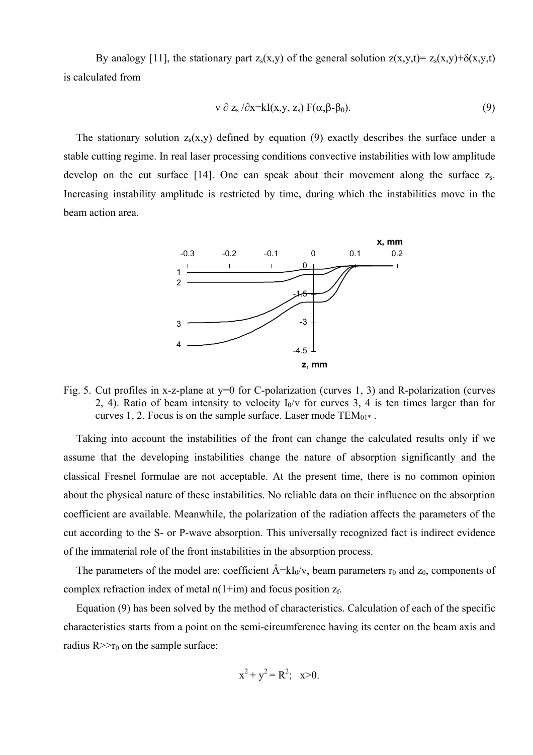By analogy [11], the stationary part  $z_s(x,y)$  of the general solution  $z(x,y,t)=z_s(x,y)+\delta(x,y,t)$ is calculated from

$$
v \partial z_s / \partial x = kI(x, y, z_s) F(\alpha, \beta - \beta_0).
$$
 (9)

The stationary solution  $z_s(x,y)$  defined by equation (9) exactly describes the surface under a stable cutting regime. In real laser processing conditions convective instabilities with low amplitude develop on the cut surface [14]. One can speak about their movement along the surface  $z_s$ . Increasing instability amplitude is restricted by time, during which the instabilities move in the beam action area.



Fig. 5. Cut profiles in x-z-plane at y=0 for C-polarization (curves 1, 3) and R-polarization (curves 2, 4). Ratio of beam intensity to velocity  $I_0/v$  for curves 3, 4 is ten times larger than for curves 1, 2. Focus is on the sample surface. Laser mode  $TEM_{01^*}$ .

Taking into account the instabilities of the front can change the calculated results only if we assume that the developing instabilities change the nature of absorption significantly and the classical Fresnel formulae are not acceptable. At the present time, there is no common opinion about the physical nature of these instabilities. No reliable data on their influence on the absorption coefficient are available. Meanwhile, the polarization of the radiation affects the parameters of the cut according to the S- or P-wave absorption. This universally recognized fact is indirect evidence of the immaterial role of the front instabilities in the absorption process.

The parameters of the model are: coefficient  $\hat{A} = kI_0/v$ , beam parameters  $r_0$  and  $z_0$ , components of complex refraction index of metal  $n(1+im)$  and focus position  $z_f$ .

Equation (9) has been solved by the method of characteristics. Calculation of each of the specific characteristics starts from a point on the semi-circumference having its center on the beam axis and radius  $R \gg r_0$  on the sample surface:

$$
x^2 + y^2 = R^2
$$
; x>0.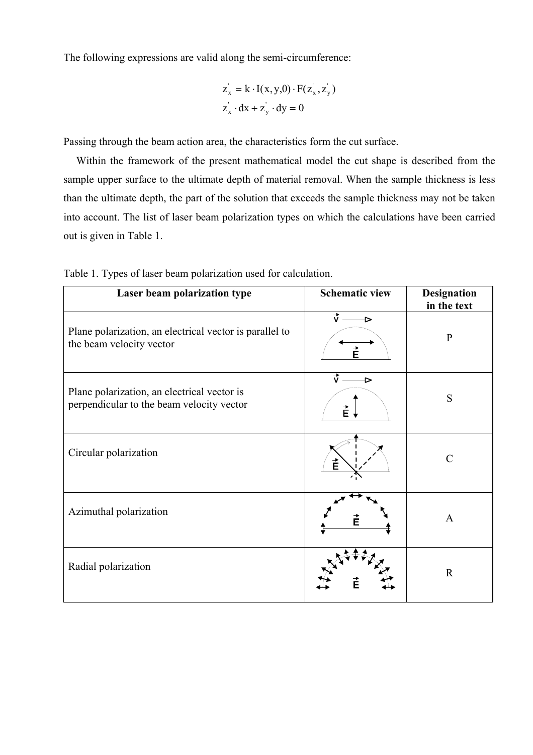The following expressions are valid along the semi-circumference:

$$
z_x = k \cdot I(x, y, 0) \cdot F(z_x, z_y)
$$
  

$$
z_x \cdot dx + z_y \cdot dy = 0
$$

Passing through the beam action area, the characteristics form the cut surface.

Within the framework of the present mathematical model the cut shape is described from the sample upper surface to the ultimate depth of material removal. When the sample thickness is less than the ultimate depth, the part of the solution that exceeds the sample thickness may not be taken into account. The list of laser beam polarization types on which the calculations have been carried out is given in Table 1.

| Laser beam polarization type                                                             | <b>Schematic view</b> | <b>Designation</b><br>in the text |
|------------------------------------------------------------------------------------------|-----------------------|-----------------------------------|
| Plane polarization, an electrical vector is parallel to<br>the beam velocity vector      | ₹<br>É                | $\mathbf{P}$                      |
| Plane polarization, an electrical vector is<br>perpendicular to the beam velocity vector | $\vec{v}$ .<br>⋗<br>È | S                                 |
| Circular polarization                                                                    | È                     | $\subset$                         |
| Azimuthal polarization                                                                   |                       | $\mathbf{A}$                      |
| Radial polarization                                                                      |                       | $\mathbf{R}$                      |

Table 1. Types of laser beam polarization used for calculation.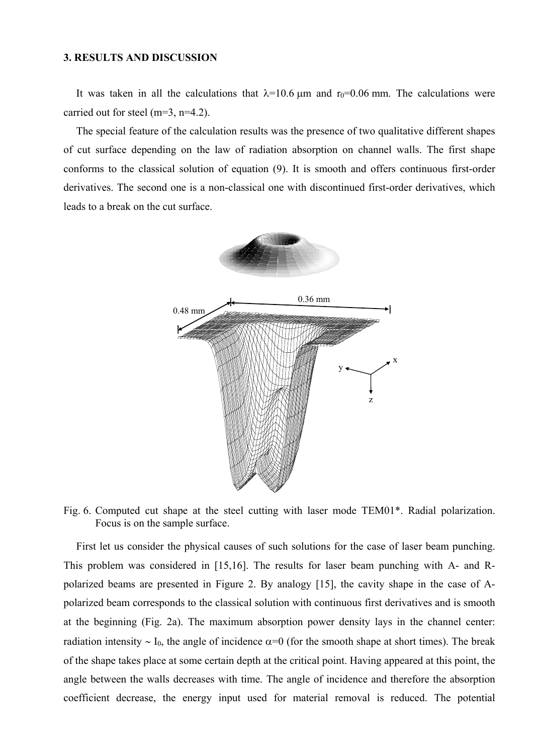#### **3. RESULTS AND DISCUSSION**

It was taken in all the calculations that  $\lambda = 10.6$  µm and r<sub>0</sub>=0.06 mm. The calculations were carried out for steel (m=3, n=4.2).

 The special feature of the calculation results was the presence of two qualitative different shapes of cut surface depending on the law of radiation absorption on channel walls. The first shape conforms to the classical solution of equation (9). It is smooth and offers continuous first-order derivatives. The second one is a non-classical one with discontinued first-order derivatives, which leads to a break on the cut surface.



Fig. 6. Computed cut shape at the steel cutting with laser mode TEM01\*. Radial polarization. Focus is on the sample surface.

First let us consider the physical causes of such solutions for the case of laser beam punching. This problem was considered in [15,16]. The results for laser beam punching with A- and Rpolarized beams are presented in Figure 2. By analogy [15], the cavity shape in the case of Apolarized beam corresponds to the classical solution with continuous first derivatives and is smooth at the beginning (Fig. 2a). The maximum absorption power density lays in the channel center: radiation intensity ~ I<sub>0</sub>, the angle of incidence  $\alpha=0$  (for the smooth shape at short times). The break of the shape takes place at some certain depth at the critical point. Having appeared at this point, the angle between the walls decreases with time. The angle of incidence and therefore the absorption coefficient decrease, the energy input used for material removal is reduced. The potential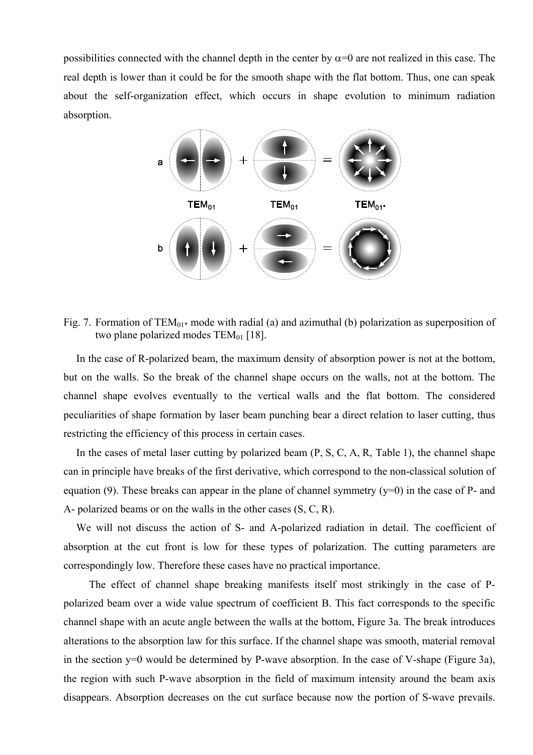possibilities connected with the channel depth in the center by  $\alpha=0$  are not realized in this case. The real depth is lower than it could be for the smooth shape with the flat bottom. Thus, one can speak about the self-organization effect, which occurs in shape evolution to minimum radiation absorption.



Fig. 7. Formation of  $TEM_{01*}$  mode with radial (a) and azimuthal (b) polarization as superposition of two plane polarized modes  $TEM_{01}$  [18].

 In the case of R-polarized beam, the maximum density of absorption power is not at the bottom, but on the walls. So the break of the channel shape occurs on the walls, not at the bottom. The channel shape evolves eventually to the vertical walls and the flat bottom. The considered peculiarities of shape formation by laser beam punching bear a direct relation to laser cutting, thus restricting the efficiency of this process in certain cases.

 In the cases of metal laser cutting by polarized beam (P, S, C, A, R, Table 1), the channel shape can in principle have breaks of the first derivative, which correspond to the non-classical solution of equation (9). These breaks can appear in the plane of channel symmetry ( $v=0$ ) in the case of P- and A- polarized beams or on the walls in the other cases (S, C, R).

 We will not discuss the action of S- and A-polarized radiation in detail. The coefficient of absorption at the cut front is low for these types of polarization. The cutting parameters are correspondingly low. Therefore these cases have no practical importance.

 The effect of channel shape breaking manifests itself most strikingly in the case of Ppolarized beam over a wide value spectrum of coefficient B. This fact corresponds to the specific channel shape with an acute angle between the walls at the bottom, Figure 3a. The break introduces alterations to the absorption law for this surface. If the channel shape was smooth, material removal in the section y=0 would be determined by P-wave absorption. In the case of V-shape (Figure 3a), the region with such P-wave absorption in the field of maximum intensity around the beam axis disappears. Absorption decreases on the cut surface because now the portion of S-wave prevails.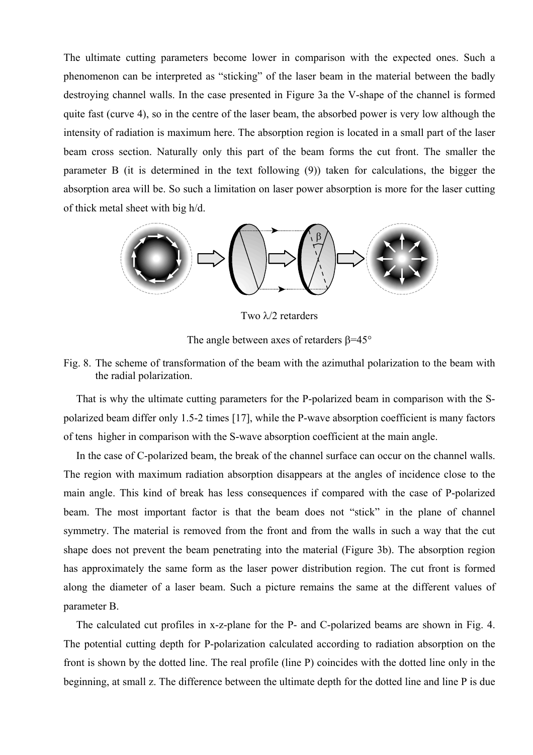The ultimate cutting parameters become lower in comparison with the expected ones. Such a phenomenon can be interpreted as "sticking" of the laser beam in the material between the badly destroying channel walls. In the case presented in Figure 3a the V-shape of the channel is formed quite fast (curve 4), so in the centre of the laser beam, the absorbed power is very low although the intensity of radiation is maximum here. The absorption region is located in a small part of the laser beam cross section. Naturally only this part of the beam forms the cut front. The smaller the parameter B (it is determined in the text following (9)) taken for calculations, the bigger the absorption area will be. So such a limitation on laser power absorption is more for the laser cutting of thick metal sheet with big h/d.



Two λ/2 retarders

The angle between axes of retarders β=45°

# Fig. 8. The scheme of transformation of the beam with the azimuthal polarization to the beam with the radial polarization.

That is why the ultimate cutting parameters for the P-polarized beam in comparison with the Spolarized beam differ only 1.5-2 times [17], while the P-wave absorption coefficient is many factors of tens higher in comparison with the S-wave absorption coefficient at the main angle.

 In the case of C-polarized beam, the break of the channel surface can occur on the channel walls. The region with maximum radiation absorption disappears at the angles of incidence close to the main angle. This kind of break has less consequences if compared with the case of P-polarized beam. The most important factor is that the beam does not "stick" in the plane of channel symmetry. The material is removed from the front and from the walls in such a way that the cut shape does not prevent the beam penetrating into the material (Figure 3b). The absorption region has approximately the same form as the laser power distribution region. The cut front is formed along the diameter of a laser beam. Such a picture remains the same at the different values of parameter B.

 The calculated cut profiles in x-z-plane for the P- and C-polarized beams are shown in Fig. 4. The potential cutting depth for P-polarization calculated according to radiation absorption on the front is shown by the dotted line. The real profile (line P) coincides with the dotted line only in the beginning, at small z. The difference between the ultimate depth for the dotted line and line P is due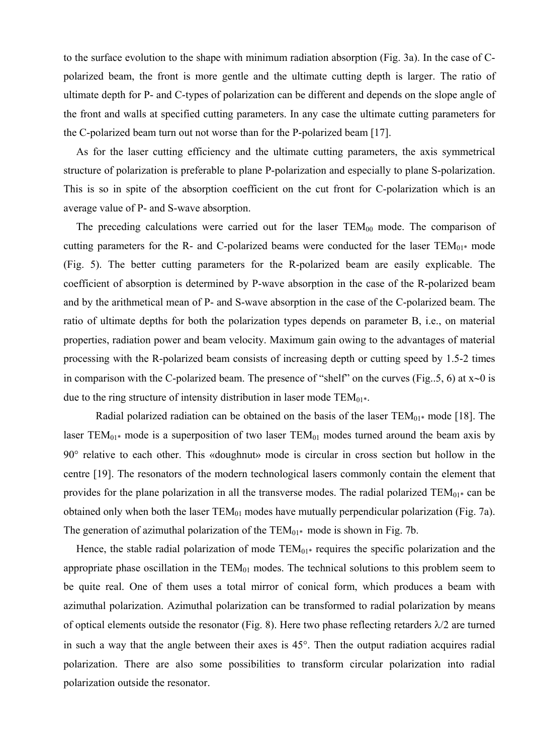to the surface evolution to the shape with minimum radiation absorption (Fig. 3a). In the case of Cpolarized beam, the front is more gentle and the ultimate cutting depth is larger. The ratio of ultimate depth for P- and C-types of polarization can be different and depends on the slope angle of the front and walls at specified cutting parameters. In any case the ultimate cutting parameters for the C-polarized beam turn out not worse than for the P-polarized beam [17].

 As for the laser cutting efficiency and the ultimate cutting parameters, the axis symmetrical structure of polarization is preferable to plane P-polarization and especially to plane S-polarization. This is so in spite of the absorption coefficient on the cut front for C-polarization which is an average value of P- and S-wave absorption.

The preceding calculations were carried out for the laser  $TEM_{00}$  mode. The comparison of cutting parameters for the R- and C-polarized beams were conducted for the laser  $TEM_{01*}$  mode (Fig. 5). The better cutting parameters for the R-polarized beam are easily explicable. The coefficient of absorption is determined by P-wave absorption in the case of the R-polarized beam and by the arithmetical mean of P- and S-wave absorption in the case of the C-polarized beam. The ratio of ultimate depths for both the polarization types depends on parameter B, i.e., on material properties, radiation power and beam velocity. Maximum gain owing to the advantages of material processing with the R-polarized beam consists of increasing depth or cutting speed by 1.5-2 times in comparison with the C-polarized beam. The presence of "shelf" on the curves (Fig..5, 6) at x∼0 is due to the ring structure of intensity distribution in laser mode  $TEM_{01*}$ .

Radial polarized radiation can be obtained on the basis of the laser  $TEM_{01*}$  mode [18]. The laser TEM<sub>01\*</sub> mode is a superposition of two laser TEM<sub>01</sub> modes turned around the beam axis by 90° relative to each other. This «doughnut» mode is circular in cross section but hollow in the centre [19]. The resonators of the modern technological lasers commonly contain the element that provides for the plane polarization in all the transverse modes. The radial polarized  $TEM_{01*}$  can be obtained only when both the laser  $TEM_{01}$  modes have mutually perpendicular polarization (Fig. 7a). The generation of azimuthal polarization of the  $TEM_{01*}$  mode is shown in Fig. 7b.

Hence, the stable radial polarization of mode  $TEM_{01*}$  requires the specific polarization and the appropriate phase oscillation in the  $TEM_{01}$  modes. The technical solutions to this problem seem to be quite real. One of them uses a total mirror of conical form, which produces a beam with azimuthal polarization. Azimuthal polarization can be transformed to radial polarization by means of optical elements outside the resonator (Fig. 8). Here two phase reflecting retarders  $\lambda/2$  are turned in such a way that the angle between their axes is 45°. Then the output radiation acquires radial polarization. There are also some possibilities to transform circular polarization into radial polarization outside the resonator.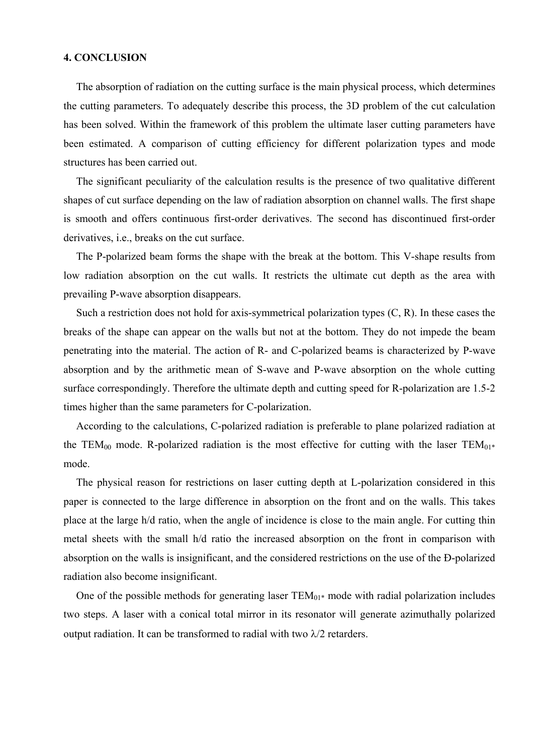#### **4. CONCLUSION**

The absorption of radiation on the cutting surface is the main physical process, which determines the cutting parameters. To adequately describe this process, the 3D problem of the cut calculation has been solved. Within the framework of this problem the ultimate laser cutting parameters have been estimated. A comparison of cutting efficiency for different polarization types and mode structures has been carried out.

 The significant peculiarity of the calculation results is the presence of two qualitative different shapes of cut surface depending on the law of radiation absorption on channel walls. The first shape is smooth and offers continuous first-order derivatives. The second has discontinued first-order derivatives, i.e., breaks on the cut surface.

The P-polarized beam forms the shape with the break at the bottom. This V-shape results from low radiation absorption on the cut walls. It restricts the ultimate cut depth as the area with prevailing P-wave absorption disappears.

Such a restriction does not hold for axis-symmetrical polarization types  $(C, R)$ . In these cases the breaks of the shape can appear on the walls but not at the bottom. They do not impede the beam penetrating into the material. The action of R- and C-polarized beams is characterized by P-wave absorption and by the arithmetic mean of S-wave and P-wave absorption on the whole cutting surface correspondingly. Therefore the ultimate depth and cutting speed for R-polarization are 1.5-2 times higher than the same parameters for C-polarization.

 According to the calculations, C-polarized radiation is preferable to plane polarized radiation at the TEM<sub>00</sub> mode. R-polarized radiation is the most effective for cutting with the laser TEM<sub>01\*</sub> mode.

The physical reason for restrictions on laser cutting depth at L-polarization considered in this paper is connected to the large difference in absorption on the front and on the walls. This takes place at the large h/d ratio, when the angle of incidence is close to the main angle. For cutting thin metal sheets with the small h/d ratio the increased absorption on the front in comparison with absorption on the walls is insignificant, and the considered restrictions on the use of the Ð-polarized radiation also become insignificant.

One of the possible methods for generating laser  $TEM_{01*}$  mode with radial polarization includes two steps. A laser with a conical total mirror in its resonator will generate azimuthally polarized output radiation. It can be transformed to radial with two  $\lambda/2$  retarders.